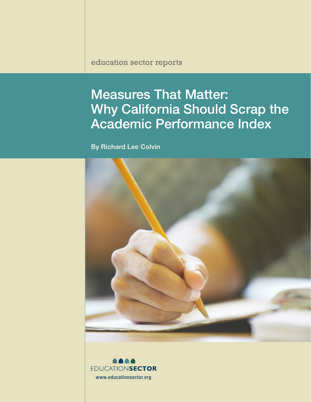education sector reports

# Measures That Matter: Why California Should Scrap the Academic Performance Index

By Richard Lee Colvin



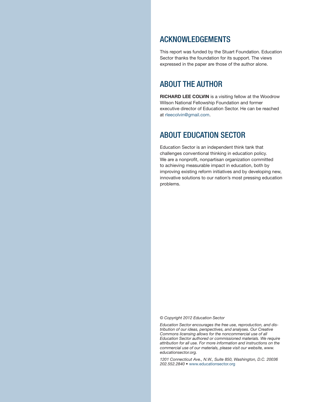#### ACKNOWLEDGEMENTS

This report was funded by the Stuart Foundation. Education Sector thanks the foundation for its support. The views expressed in the paper are those of the author alone.

#### ABOUT THE AUTHOR

RICHARD LEE COLVIN is a visiting fellow at the Woodrow Wilson National Fellowship Foundation and former executive director of Education Sector. He can be reached at [rleecolvin@gmail.com](mailto:rleecolvin%40gmail.com?subject=).

#### ABOUT EDUCATION SECTOR

Education Sector is an independent think tank that challenges conventional thinking in education policy. We are a nonprofit, nonpartisan organization committed to achieving measurable impact in education, both by improving existing reform initiatives and by developing new, innovative solutions to our nation's most pressing education problems.

*© Copyright 2012 Education Sector*

*Education Sector encourages the free use, reproduction, and distribution of our ideas, perspectives, and analyses. Our Creative Commons licensing allows for the noncommercial use of all Education Sector authored or commissioned materials. We require attribution for all use. For more information and instructions on the commercial use of our materials, please visit our website, www. educationsector.org.*

*1201 Connecticut Ave., N.W., Suite 850, Washington, D.C. 20036*  202.552.2840 • [www.educationsector.org](http://www.educationsector.org)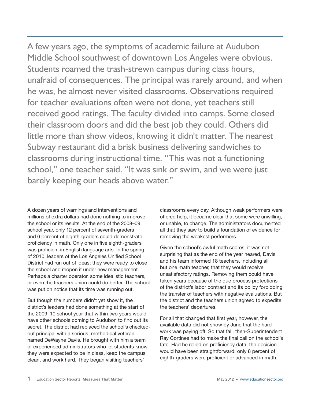A few years ago, the symptoms of academic failure at Audubon Middle School southwest of downtown Los Angeles were obvious. Students roamed the trash-strewn campus during class hours, unafraid of consequences. The principal was rarely around, and when he was, he almost never visited classrooms. Observations required for teacher evaluations often were not done, yet teachers still received good ratings. The faculty divided into camps. Some closed their classroom doors and did the best job they could. Others did little more than show videos, knowing it didn't matter. The nearest Subway restaurant did a brisk business delivering sandwiches to classrooms during instructional time. "This was not a functioning school," one teacher said. "It was sink or swim, and we were just barely keeping our heads above water."

A dozen years of warnings and interventions and millions of extra dollars had done nothing to improve the school or its results. At the end of the 2008–09 school year, only 12 percent of seventh-graders and 6 percent of eighth-graders could demonstrate proficiency in math. Only one in five eighth-graders was proficient in English language arts. In the spring of 2010, leaders of the Los Angeles Unified School District had run out of ideas; they were ready to close the school and reopen it under new management. Perhaps a charter operator, some idealistic teachers, or even the teachers union could do better. The school was put on notice that its time was running out.

But though the numbers didn't yet show it, the district's leaders had done something at the start of the 2009–10 school year that within two years would have other schools coming to Audubon to find out its secret. The district had replaced the school's checkedout principal with a serious, methodical veteran named DeWayne Davis. He brought with him a team of experienced administrators who let students know they were expected to be in class, keep the campus clean, and work hard. They began visiting teachers'

classrooms every day. Although weak performers were offered help, it became clear that some were unwilling, or unable, to change. The administrators documented all that they saw to build a foundation of evidence for removing the weakest performers.

Given the school's awful math scores, it was not surprising that as the end of the year neared, Davis and his team informed 18 teachers, including all but one math teacher, that they would receive unsatisfactory ratings. Removing them could have taken years because of the due process protections of the district's labor contract and its policy forbidding the transfer of teachers with negative evaluations. But the district and the teachers union agreed to expedite the teachers' departures.

For all that changed that first year, however, the available data did not show by June that the hard work was paying off. So that fall, then-Superintendent Ray Cortines had to make the final call on the school's fate. Had he relied on proficiency data, the decision would have been straightforward: only 8 percent of eighth-graders were proficient or advanced in math,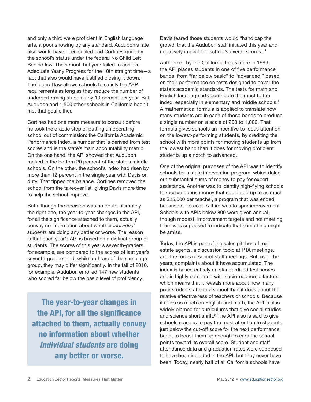and only a third were proficient in English language arts, a poor showing by any standard. Audubon's fate also would have been sealed had Cortines gone by the school's status under the federal No Child Left Behind law. The school that year failed to achieve Adequate Yearly Progress for the 10th straight time—a fact that also would have justified closing it down. The federal law allows schools to satisfy the AYP requirements as long as they reduce the number of underperforming students by 10 percent per year. But Audubon and 1,500 other schools in California hadn't met that goal either.

Cortines had one more measure to consult before he took the drastic step of putting an operating school out of commission: the California Academic Performance Index, a number that is derived from test scores and is the state's main accountability metric. On the one hand, the API showed that Audubon ranked in the bottom 20 percent of the state's middle schools. On the other, the school's index had risen by more than 12 percent in the single year with Davis on duty. That tipped the balance. Cortines removed the school from the takeover list, giving Davis more time to help the school improve.

But although the decision was no doubt ultimately the right one, the year-to-year changes in the API, for all the significance attached to them, actually convey no information about whether *individual students* are doing any better or worse. The reason is that each year's API is based on a distinct group of students. The scores of this year's seventh-graders, for example, are compared to the scores of last year's seventh-graders and, while both are of the same age group, they may differ significantly. In the fall of 2010, for example, Audubon enrolled 147 new students who scored far below the basic level of proficiency.

The year-to-year changes in the API, for all the significance attached to them, actually convey no information about whether *individual students* are doing any better or worse.

Davis feared those students would "handicap the growth that the Audubon staff initiated this year and negatively impact the school's overall scores."1

Authorized by the California Legislature in 1999, the API places students in one of five performance bands, from "far below basic" to "advanced," based on their performance on tests designed to cover the state's academic standards. The tests for math and English language arts contribute the most to the index, especially in elementary and middle schools.<sup>2</sup> A mathematical formula is applied to translate how many students are in each of those bands to produce a single number on a scale of 200 to 1,000. That formula gives schools an incentive to focus attention on the lowest-performing students, by crediting the school with more points for moving students up from the lowest band than it does for moving proficient students up a notch to advanced.

One of the original purposes of the API was to identify schools for a state intervention program, which doled out substantial sums of money to pay for expert assistance. Another was to identify high-flying schools to receive bonus money that could add up to as much as \$25,000 per teacher, a program that was ended because of its cost. A third was to spur improvement. Schools with APIs below 800 were given annual, though modest, improvement targets and not meeting them was supposed to indicate that something might be amiss.

Today, the API is part of the sales pitches of real estate agents, a discussion topic at PTA meetings, and the focus of school staff meetings. But, over the years, complaints about it have accumulated. The index is based entirely on standardized test scores and is highly correlated with socio-economic factors, which means that it reveals more about how many poor students attend a school than it does about the relative effectiveness of teachers or schools. Because it relies so much on English and math, the API is also widely blamed for curriculums that give social studies and science short shrift.<sup>3</sup> The API also is said to give schools reasons to pay the most attention to students just below the cut-off score for the next performance band, to boost them up enough to earn the school points toward its overall score. Student and staff attendance data and graduation rates were supposed to have been included in the API, but they never have been. Today, nearly half of all California schools have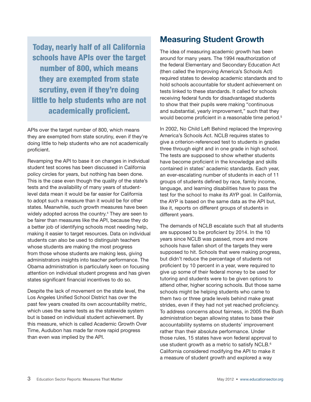Today, nearly half of all California schools have APIs over the target number of 800, which means they are exempted from state scrutiny, even if they're doing little to help students who are not academically proficient.

APIs over the target number of 800, which means they are exempted from state scrutiny, even if they're doing little to help students who are not academically proficient.

Revamping the API to base it on changes in individual student test scores has been discussed in California policy circles for years, but nothing has been done. This is the case even though the quality of the state's tests and the availability of many years of studentlevel data mean it would be far easier for California to adopt such a measure than it would be for other states. Meanwhile, such growth measures have been widely adopted across the country.4 They are seen to be fairer than measures like the API, because they do a better job of identifying schools most needing help, making it easier to target resources. Data on individual students can also be used to distinguish teachers whose students are making the most progress from those whose students are making less, giving administrators insights into teacher performance. The Obama administration is particularly keen on focusing attention on individual student progress and has given states significant financial incentives to do so.

Despite the lack of movement on the state level, the Los Angeles Unified School District has over the past few years created its own accountability metric, which uses the same tests as the statewide system but is based on individual student achievement. By this measure, which is called Academic Growth Over Time, Audubon has made far more rapid progress than even was implied by the API.

# Measuring Student Growth

The idea of measuring academic growth has been around for many years. The 1994 reauthorization of the federal Elementary and Secondary Education Act (then called the Improving America's Schools Act) required states to develop academic standards and to hold schools accountable for student achievement on tests linked to these standards. It called for schools receiving federal funds for disadvantaged students to show that their pupils were making "continuous and substantial, yearly improvement," such that they would become proficient in a reasonable time period.<sup>5</sup>

In 2002, No Child Left Behind replaced the Improving America's Schools Act. NCLB requires states to give a criterion-referenced test to students in grades three through eight and in one grade in high school. The tests are supposed to show whether students have become proficient in the knowledge and skills contained in states' academic standards. Each year, an ever-escalating number of students in each of 11 groups of students defined by race, family income, language, and learning disabilities have to pass the test for the school to make its AYP goal. In California, the AYP is based on the same data as the API but, like it, reports on different groups of students in different years.

The demands of NCLB escalate such that all students are supposed to be proficient by 2014. In the 10 years since NCLB was passed, more and more schools have fallen short of the targets they were supposed to hit. Schools that were making progress, but didn't reduce the percentage of students not proficient by 10 percent in a year, were required to give up some of their federal money to be used for tutoring and students were to be given options to attend other, higher scoring schools. But those same schools might be helping students who came to them two or three grade levels behind make great strides, even if they had not yet reached proficiency. To address concerns about fairness, in 2005 the Bush administration began allowing states to base their accountability systems on students' improvement rather than their absolute performance. Under those rules, 15 states have won federal approval to use student growth as a metric to satisfy NCLB.<sup>6</sup> California considered modifying the API to make it a measure of student growth and explored a way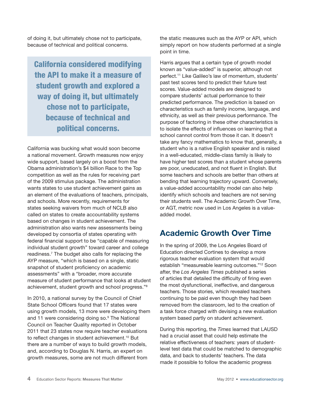of doing it, but ultimately chose not to participate, because of technical and political concerns.

California considered modifying the API to make it a measure of student growth and explored a way of doing it, but ultimately chose not to participate, because of technical and political concerns.

California was bucking what would soon become a national movement. Growth measures now enjoy wide support, based largely on a boost from the Obama administration's \$4 billion Race to the Top competition as well as the rules for receiving part of the 2009 stimulus package. The administration wants states to use student achievement gains as an element of the evaluations of teachers, principals, and schools. More recently, requirements for states seeking waivers from much of NCLB also called on states to create accountability systems based on changes in student achievement. The administration also wants new assessments being developed by consortia of states operating with federal financial support to be "capable of measuring individual student growth" toward career and college readiness.7 The budget also calls for replacing the AYP measure, "which is based on a single, static snapshot of student proficiency on academic assessments" with a "broader, more accurate measure of student performance that looks at student achievement, student growth and school progress."8

In 2010, a national survey by the Council of Chief State School Officers found that 17 states were using growth models, 13 more were developing them and 11 were considering doing so.<sup>9</sup> The National Council on Teacher Quality reported in October 2011 that 23 states now require teacher evaluations to reflect changes in student achievement.<sup>10</sup> But there are a number of ways to build growth models, and, according to Douglas N. Harris, an expert on growth measures, some are not much different from

the static measures such as the AYP or API, which simply report on how students performed at a single point in time.

Harris argues that a certain type of growth model known as "value-added" is superior, although not perfect.11 Like Galileo's law of momentum, students' past test scores tend to predict their future test scores. Value-added models are designed to compare students' actual performance to their predicted performance. The prediction is based on characteristics such as family income, language, and ethnicity, as well as their previous performance. The purpose of factoring in these other characteristics is to isolate the effects of influences on learning that a school cannot control from those it can. It doesn't take any fancy mathematics to know that, generally, a student who is a native English speaker and is raised in a well-educated, middle-class family is likely to have higher test scores than a student whose parents are poor, uneducated, and not fluent in English. But some teachers and schools are better than others at bending that learning trajectory upward. Conversely, a value-added accountability model can also help identify which schools and teachers are not serving their students well. The Academic Growth Over Time, or AGT, metric now used in Los Angeles is a valueadded model.

# Academic Growth Over Time

In the spring of 2009, the Los Angeles Board of Education directed Cortines to develop a more rigorous teacher evaluation system that would establish "measureable learning outcomes."12 Soon after, the *Los Angeles Times* published a series of articles that detailed the difficulty of firing even the most dysfunctional, ineffective, and dangerous teachers. Those stories, which revealed teachers continuing to be paid even though they had been removed from the classroom, led to the creation of a task force charged with devising a new evaluation system based partly on student achievement.

During this reporting, the *Times* learned that LAUSD had a crucial asset that could help estimate the relative effectiveness of teachers: years of studentlevel test data that could be matched to demographic data, and back to students' teachers. The data made it possible to follow the academic progress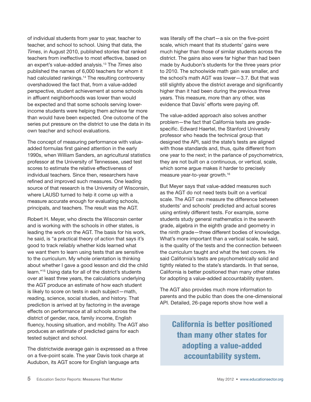of individual students from year to year, teacher to teacher, and school to school. Using that data, the *Times*, in August 2010, published stories that ranked teachers from ineffective to most effective, based on an expert's value-added analysis.13 The *Times* also published the names of 6,000 teachers for whom it had calculated rankings.<sup>14</sup> The resulting controversy overshadowed the fact that, from a value-added perspective, student achievement at some schools in affluent neighborhoods was lower than would be expected and that some schools serving lowerincome students were helping them achieve far more than would have been expected. One outcome of the series put pressure on the district to use the data in its own teacher and school evaluations.

The concept of measuring performance with valueadded formulas first gained attention in the early 1990s, when William Sanders, an agricultural statistics professor at the University of Tennessee, used test scores to estimate the relative effectiveness of individual teachers. Since then, researchers have refined and improved such measures. One leading source of that research is the University of Wisconsin, where LAUSD turned to help it come up with a measure accurate enough for evaluating schools, principals, and teachers. The result was the AGT.

Robert H. Meyer, who directs the Wisconsin center and is working with the schools in other states, is leading the work on the AGT. The basis for his work, he said, is "a practical theory of action that says it's good to track reliably whether kids learned what we want them to learn using tests that are sensitive to the curriculum. My whole orientation is thinking about whether I gave a good lesson and did the child learn."15 Using data for all of the district's students over at least three years, the calculations underlying the AGT produce an estimate of how each student is likely to score on tests in each subject—math, reading, science, social studies, and history. That prediction is arrived at by factoring in the average effects on performance at all schools across the district of gender, race, family income, English fluency, housing situation, and mobility. The AGT also produces an estimate of predicted gains for each tested subject and school.

The districtwide average gain is expressed as a three on a five-point scale. The year Davis took charge at Audubon, its AGT score for English language arts

was literally off the chart—a six on the five-point scale, which meant that its students' gains were much higher than those of similar students across the district. The gains also were far higher than had been made by Audubon's students for the three years prior to 2010. The schoolwide math gain was smaller, and the school's math AGT was lower—3.7. But that was still slightly above the district average and significantly higher than it had been during the previous three years. This measure, more than any other, was evidence that Davis' efforts were paying off.

The value-added approach also solves another problem—the fact that California tests are gradespecific. Edward Haertel, the Stanford University professor who heads the technical group that designed the API, said the state's tests are aligned with those standards and, thus, quite different from one year to the next; in the parlance of psychometrics, they are not built on a continuous, or vertical, scale, which some argue makes it harder to precisely measure year-to-year growth.16

But Meyer says that value-added measures such as the AGT do not need tests built on a vertical scale. The AGT can measure the difference between students' and schools' predicted and actual scores using entirely different tests. For example, some students study general mathematics in the seventh grade, algebra in the eighth grade and geometry in the ninth grade—three different bodies of knowledge. What's more important than a vertical scale, he said, is the quality of the tests and the connection between the curriculum taught and what the test covers. He said California's tests are psychometrically solid and tightly related to the state's standards. In that sense, California is better positioned than many other states for adopting a value-added accountability system.

The AGT also provides much more information to parents and the public than does the one-dimensional API. Detailed, 26-page reports show how well a

California is better positioned than many other states for adopting a value-added accountability system.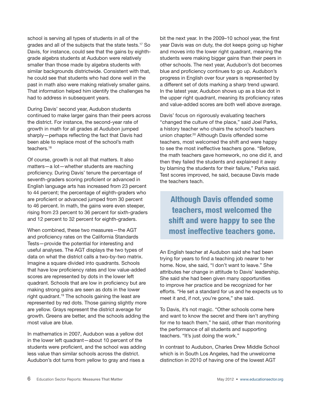school is serving all types of students in all of the grades and all of the subjects that the state tests.17 So Davis, for instance, could see that the gains by eighthgrade algebra students at Audubon were relatively smaller than those made by algebra students with similar backgrounds districtwide. Consistent with that, he could see that students who had done well in the past in math also were making relatively smaller gains. That information helped him identify the challenges he had to address in subsequent years.

During Davis' second year, Audubon students continued to make larger gains than their peers across the district. For instance, the second-year rate of growth in math for all grades at Audubon jumped sharply—perhaps reflecting the fact that Davis had been able to replace most of the school's math teachers.<sup>18</sup>

Of course, growth is not all that matters. It also matters—a lot—whether students are reaching proficiency. During Davis' tenure the percentage of seventh-graders scoring proficient or advanced in English language arts has increased from 23 percent to 44 percent; the percentage of eighth-graders who are proficient or advanced jumped from 30 percent to 46 percent. In math, the gains were even steeper, rising from 23 percent to 36 percent for sixth-graders and 12 percent to 32 percent for eighth-graders.

When combined, these two measures—the AGT and proficiency rates on the California Standards Tests—provide the potential for interesting and useful analyses. The AGT displays the two types of data on what the district calls a two-by-two matrix. Imagine a square divided into quadrants. Schools that have low proficiency rates and low value-added scores are represented by dots in the lower left quadrant. Schools that are low in proficiency but are making strong gains are seen as dots in the lower right quadrant.19 The schools gaining the least are represented by red dots. Those gaining slightly more are yellow. Grays represent the district average for growth. Greens are better, and the schools adding the most value are blue.

In mathematics in 2007, Audubon was a yellow dot in the lower left quadrant—about 10 percent of the students were proficient, and the school was adding less value than similar schools across the district. Audubon's dot turns from yellow to gray and rises a

bit the next year. In the 2009–10 school year, the first year Davis was on duty, the dot keeps going up higher and moves into the lower right quadrant, meaning the students were making bigger gains than their peers in other schools. The next year, Audubon's dot becomes blue and proficiency continues to go up. Audubon's progress in English over four years is represented by a different set of dots marking a sharp trend upward. In the latest year, Audubon shows up as a blue dot in the upper right quadrant, meaning its proficiency rates and value-added scores are both well above average.

Davis' focus on rigorously evaluating teachers "changed the culture of the place," said Joel Parks, a history teacher who chairs the school's teachers union chapter.20 Although Davis offended some teachers, most welcomed the shift and were happy to see the most ineffective teachers gone. "Before, the math teachers gave homework, no one did it, and then they failed the students and explained it away by blaming the students for their failure," Parks said. Test scores improved, he said, because Davis made the teachers teach.

Although Davis offended some teachers, most welcomed the shift and were happy to see the most ineffective teachers gone.

An English teacher at Audubon said she had been trying for years to find a teaching job nearer to her home. Now, she said, "I don't want to leave." She attributes her change in attitude to Davis' leadership. She said she had been given many opportunities to improve her practice and be recognized for her efforts. "He set a standard for us and he expects us to meet it and, if not, you're gone," she said.

To Davis, it's not magic. "Other schools come here and want to know the secret and there isn't anything for me to teach them," he said, other than monitoring the performance of all students and supporting teachers. "It's just doing the work."

In contrast to Audubon, Charles Drew Middle School which is in South Los Angeles, had the unwelcome distinction in 2010 of having one of the lowest AGT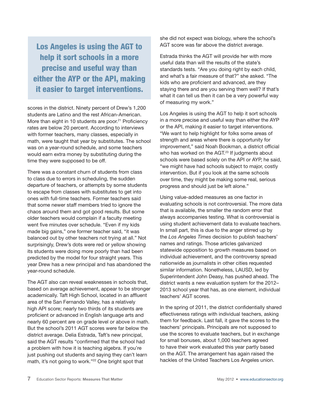Los Angeles is using the AGT to help it sort schools in a more precise and useful way than either the AYP or the API, making it easier to target interventions.

scores in the district. Ninety percent of Drew's 1,200 students are Latino and the rest African-American. More than eight in 10 students are poor.<sup>21</sup> Proficiency rates are below 20 percent. According to interviews with former teachers, many classes, especially in math, were taught that year by substitutes. The school was on a year-round schedule, and some teachers would earn extra money by substituting during the time they were supposed to be off.

There was a constant churn of students from class to class due to errors in scheduling, the sudden departure of teachers, or attempts by some students to escape from classes with substitutes to get into ones with full-time teachers. Former teachers said that some newer staff members tried to ignore the chaos around them and got good results. But some older teachers would complain if a faculty meeting went five minutes over schedule. "Even if my kids made big gains," one former teacher said, "it was balanced out by other teachers not trying at all." Not surprisingly, Drew's dots were red or yellow showing its students were doing more poorly than had been predicted by the model for four straight years. This year Drew has a new principal and has abandoned the year-round schedule.

The AGT also can reveal weaknesses in schools that, based on average achievement, appear to be stronger academically. Taft High School, located in an affluent area of the San Fernando Valley, has a relatively high API score; nearly two thirds of its students are proficient or advanced in English language arts and nearly 60 percent are on grade level or above in math. But the school's 2011 AGT scores were far below the district average. Delia Estrada, Taft's new principal, said the AGT results "confirmed that the school had a problem with how it is teaching algebra. If you're just pushing out students and saying they can't learn math, it's not going to work."22 One bright spot that

she did not expect was biology, where the school's AGT score was far above the district average.

Estrada thinks the AGT will provide her with more useful data than will the results of the state's standards tests. "Are you doing right by each child, and what's a fair measure of that?" she asked. "The kids who are proficient and advanced, are they staying there and are you serving them well? If that's what it can tell us then it can be a very powerful way of measuring my work."

Los Angeles is using the AGT to help it sort schools in a more precise and useful way than either the AYP or the API, making it easier to target interventions. "We want to help highlight for folks some areas of strength and areas where there is opportunity for improvement," said Noah Bookman, a district official who has worked on the AGT.<sup>23</sup> If judgments about schools were based solely on the API or AYP, he said, "we might have had schools subject to major, costly intervention. But if you look at the same schools over time, they might be making some real, serious progress and should just be left alone."

Using value-added measures as one factor in evaluating schools is not controversial. The more data that is available, the smaller the random error that always accompanies testing. What is controversial is using student achievement data to evaluate teachers. In small part, this is due to the anger stirred up by the *Los Angeles Times* decision to publish teachers' names and ratings. Those articles galvanized statewide opposition to growth measures based on individual achievement, and the controversy spread nationwide as journalists in other cities requested similar information. Nonetheless, LAUSD, led by Superintendent John Deasy, has pushed ahead. The district wants a new evaluation system for the 2012– 2013 school year that has, as one element, individual teachers' AGT scores.

In the spring of 2011, the district confidentially shared effectiveness ratings with individual teachers, asking them for feedback. Last fall, it gave the scores to the teachers' principals. Principals are not supposed to use the scores to evaluate teachers, but in exchange for small bonuses, about 1,000 teachers agreed to have their work evaluated this year partly based on the AGT. The arrangement has again raised the hackles of the United Teachers Los Angeles union.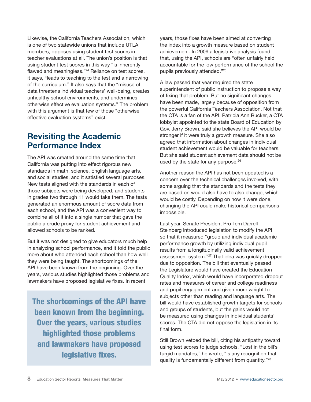Likewise, the California Teachers Association, which is one of two statewide unions that include UTLA members, opposes using student test scores in teacher evaluations at all. The union's position is that using student test scores in this way "is inherently flawed and meaningless."24 Reliance on test scores, it says, "leads to teaching to the test and a narrowing of the curriculum." It also says that the "misuse of data threatens individual teachers' well-being, creates unhealthy school environments, and undermines otherwise effective evaluation systems." The problem with this argument is that few of those "otherwise effective evaluation systems" exist.

## Revisiting the Academic Performance Index

The API was created around the same time that California was putting into effect rigorous new standards in math, science, English language arts, and social studies, and it satisfied several purposes. New tests aligned with the standards in each of those subjects were being developed, and students in grades two through 11 would take them. The tests generated an enormous amount of score data from each school, and the API was a convenient way to combine all of it into a single number that gave the public a crude proxy for student achievement and allowed schools to be ranked.

But it was not designed to give educators much help in analyzing school performance, and it told the public more about who attended each school than how well they were being taught. The shortcomings of the API have been known from the beginning. Over the years, various studies highlighted those problems and lawmakers have proposed legislative fixes. In recent

The shortcomings of the API have been known from the beginning. Over the years, various studies highlighted those problems and lawmakers have proposed legislative fixes.

years, those fixes have been aimed at converting the index into a growth measure based on student achievement. In 2009 a legislative analysis found that, using the API, schools are "often unfairly held accountable for the low performance of the school the pupils previously attended."25

A law passed that year required the state superintendent of public instruction to propose a way of fixing that problem. But no significant changes have been made, largely because of opposition from the powerful California Teachers Association. Not that the CTA is a fan of the API. Patricia Ann Rucker, a CTA lobbyist appointed to the state Board of Education by Gov. Jerry Brown, said she believes the API would be stronger if it were truly a growth measure. She also agreed that information about changes in individual student achievement would be valuable for teachers. But she said student achievement data should not be used by the state for any purpose.<sup>26</sup>

Another reason the API has not been updated is a concern over the technical challenges involved, with some arguing that the standards and the tests they are based on would also have to also change, which would be costly. Depending on how it were done, changing the API could make historical comparisons impossible.

Last year, Senate President Pro Tem Darrell Steinberg introduced legislation to modify the API so that it measured "group and individual academic performance growth by utilizing individual pupil results from a longitudinally valid achievement assessment system."27 That idea was quickly dropped due to opposition. The bill that eventually passed the Legislature would have created the Education Quality Index, which would have incorporated dropout rates and measures of career and college readiness and pupil engagement and given more weight to subjects other than reading and language arts. The bill would have established growth targets for schools and groups of students, but the gains would not be measured using changes in individual students' scores. The CTA did not oppose the legislation in its final form.

Still Brown vetoed the bill, citing his antipathy toward using test scores to judge schools. "Lost in the bill's turgid mandates," he wrote, "is any recognition that quality is fundamentally different from quantity."28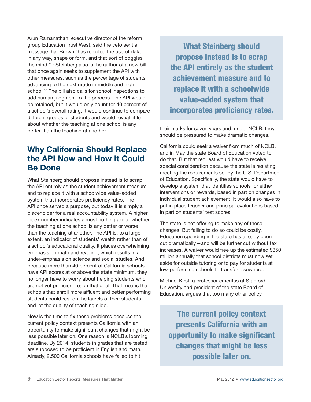Arun Ramanathan, executive director of the reform group Education Trust West, said the veto sent a message that Brown "has rejected the use of data in any way, shape or form, and that sort of boggles the mind."29 Steinberg also is the author of a new bill that once again seeks to supplement the API with other measures, such as the percentage of students advancing to the next grade in middle and high school.<sup>30</sup> The bill also calls for school inspections to add human judgment to the process. The API would be retained, but it would only count for 40 percent of a school's overall rating. It would continue to compare different groups of students and would reveal little about whether the teaching at one school is any better than the teaching at another.

# Why California Should Replace the Api Now and How It Could Be Done

What Steinberg should propose instead is to scrap the API entirely as the student achievement measure and to replace it with a schoolwide value-added system that incorporates proficiency rates. The API once served a purpose, but today it is simply a placeholder for a real accountability system. A higher index number indicates almost nothing about whether the teaching at one school is any better or worse than the teaching at another. The API is, to a large extent, an indicator of students' wealth rather than of a school's educational quality. It places overwhelming emphasis on math and reading, which results in an under-emphasis on science and social studies. And because more than 40 percent of California schools have API scores at or above the state minimum, they no longer have to worry about helping students who are not yet proficient reach that goal. That means that schools that enroll more affluent and better performing students could rest on the laurels of their students and let the quality of teaching slide.

Now is the time to fix those problems because the current policy context presents California with an opportunity to make significant changes that might be less possible later on. One reason is NCLB's looming deadline. By 2014, students in grades that are tested are supposed to be proficient in English and math. Already, 2,500 California schools have failed to hit

What Steinberg should propose instead is to scrap the API entirely as the student achievement measure and to replace it with a schoolwide value-added system that incorporates proficiency rates.

their marks for seven years and, under NCLB, they should be pressured to make dramatic changes.

California could seek a waiver from much of NCLB, and in May the state Board of Education voted to do that. But that request would have to receive special consideration because the state is resisting meeting the requirements set by the U.S. Department of Education. Specifically, the state would have to develop a system that identifies schools for either interventions or rewards, based in part on changes in individual student achievement. It would also have to put in place teacher and principal evaluations based in part on students' test scores.

The state is not offering to make any of these changes. But failing to do so could be costly. Education spending in the state has already been cut dramatically—and will be further cut without tax increases. A waiver would free up the estimated \$350 million annually that school districts must now set aside for outside tutoring or to pay for students at low-performing schools to transfer elsewhere.

Michael Kirst, a professor emeritus at Stanford University and president of the state Board of Education, argues that too many other policy

The current policy context presents California with an opportunity to make significant changes that might be less possible later on.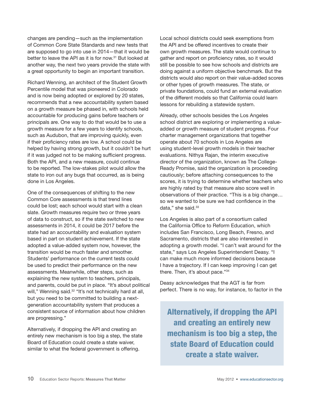changes are pending—such as the implementation of Common Core State Standards and new tests that are supposed to go into use in 2014—that it would be better to leave the API as it is for now.<sup>31</sup> But looked at another way, the next two years provide the state with a great opportunity to begin an important transition.

Richard Wenning, an architect of the Student Growth Percentile model that was pioneered in Colorado and is now being adopted or explored by 20 states, recommends that a new accountability system based on a growth measure be phased in, with schools held accountable for producing gains before teachers or principals are. One way to do that would be to use a growth measure for a few years to identify schools, such as Audubon, that are improving quickly, even if their proficiency rates are low. A school could be helped by having strong growth, but it couldn't be hurt if it was judged not to be making sufficient progress. Both the API, and a new measure, could continue to be reported. The low-stakes pilot would allow the state to iron out any bugs that occurred, as is being done in Los Angeles.

One of the consequences of shifting to the new Common Core assessments is that trend lines could be lost; each school would start with a clean slate. Growth measures require two or three years of data to construct, so if the state switched to new assessments in 2014, it could be 2017 before the state had an accountability and evaluation system based in part on student achievement. If the state adopted a value-added system now, however, the transition would be much faster and smoother. Students' performance on the current tests could be used to predict their performance on the new assessments. Meanwhile, other steps, such as explaining the new system to teachers, principals, and parents, could be put in place. "It's about political will," Wenning said.<sup>32</sup> "It's not technically hard at all, but you need to be committed to building a nextgeneration accountability system that produces a consistent source of information about how children are progressing."

Alternatively, if dropping the API and creating an entirely new mechanism is too big a step, the state Board of Education could create a state waiver, similar to what the federal government is offering.

Local school districts could seek exemptions from the API and be offered incentives to create their own growth measures. The state would continue to gather and report on proficiency rates, so it would still be possible to see how schools and districts are doing against a uniform objective benchmark. But the districts would also report on their value-added scores or other types of growth measures. The state, or private foundations, could fund an external evaluation of the different models so that California could learn lessons for rebuilding a statewide system.

Already, other schools besides the Los Angeles school district are exploring or implementing a valueadded or growth measure of student progress. Four charter management organizations that together operate about 70 schools in Los Angeles are using student-level growth models in their teacher evaluations. Nithya Rajan, the interim executive director of the organization, known as The College-Ready Promise, said the organization is proceeding cautiously; before attaching consequences to the scores, it is trying to determine whether teachers who are highly rated by that measure also score well in observations of their practice. "This is a big change… so we wanted to be sure we had confidence in the data." she said.<sup>33</sup>

Los Angeles is also part of a consortium called the California Office to Reform Education, which includes San Francisco, Long Beach, Fresno, and Sacramento, districts that are also interested in adopting a growth model. "I can't wait around for the state," says Los Angeles Superintendent Deasy. "I can make much more informed decisions because I have a trajectory. If I can keep improving I can get there. Then, it's about pace."34

Deasy acknowledges that the AGT is far from perfect. There is no way, for instance, to factor in the

Alternatively, if dropping the API and creating an entirely new mechanism is too big a step, the state Board of Education could create a state waiver.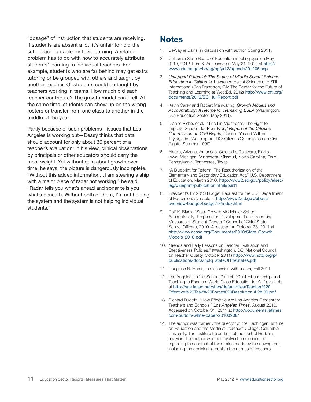"dosage" of instruction that students are receiving. If students are absent a lot, it's unfair to hold the school accountable for their learning. A related problem has to do with how to accurately attribute students' learning to individual teachers. For example, students who are far behind may get extra tutoring or be grouped with others and taught by another teacher. Or students could be taught by teachers working in teams. How much did each teacher contribute? The growth model can't tell. At the same time, students can show up on the wrong rosters or transfer from one class to another in the middle of the year.

Partly because of such problems—issues that Los Angeles is working out—Deasy thinks that data should account for only about 30 percent of a teacher's evaluation; in his view, clinical observations by principals or other educators should carry the most weight. Yet without data about growth over time, he says, the picture is dangerously incomplete. "Without this added information…I am steering a ship with a major piece of radar not working," he said. "Radar tells you what's ahead and sonar tells you what's beneath. Without both of them, I'm not helping the system and the system is not helping individual students."

### **Notes**

- 1. DeWayne Davis, in discussion with author, Spring 2011.
- 2. California State Board of Education meeting agenda May 9–10, 2012. Item 6. Accessed on May 21, 2012 at [http://](http://www.cde.ca.gov/be/ag/ag/yr12/agenda201205.asp) [www.cde.ca.gov/be/ag/ag/yr12/agenda201205.asp](http://www.cde.ca.gov/be/ag/ag/yr12/agenda201205.asp)
- 3. *Untapped Potential: The Status of Middle School Science Education in California,* Lawrence Hall of Science and SRI International (San Francisco, CA: The Center for the Future of Teaching and Learning at WestEd, 2012) [http://www.cftl.org/](http://www.cftl.org/documents/2012/SCI_fullReport.pdf) [documents/2012/SCI\\_fullReport.pdf](http://www.cftl.org/documents/2012/SCI_fullReport.pdf)
- 4. Kevin Carey and Robert Manwaring, *Growth Models and Accountability: A Recipe for Remaking ESEA* (Washington, DC: Education Sector, May 2011).
- 5. Dianne Piche, et al., "Title I in Midstream: The Fight to Improve Schools for Poor Kids," *Report of the Citizens Commission on Civil Rights*, Corinne Yu and William L. Taylor, eds. (Washington, DC: Citizens Commission on Civil Rights, Summer 1999).
- 6. Alaska, Arizona, Arkansas, Colorado, Delaware, Florida, Iowa, Michigan, Minnesota, Missouri, North Carolina, Ohio, Pennsylvania, Tennessee, Texas
- 7. "A Blueprint for Reform: The Reauthorization of the Elementary and Secondary Education Act," U.S. Department of Education, March 2010, http://www2.ed.gov/policy/elsec/ leg/blueprint/publication.html#part1
- 8. President's FY 2013 Budget Request for the U.S. Department of Education, available at [http://www2.ed.gov/about/](http://www2.ed.gov/about/overview/budget/budget13/index.html) [overview/budget/budget13/index.html](http://www2.ed.gov/about/overview/budget/budget13/index.html)
- 9. Rolf K. Blank, "State Growth Models for School Accountability: Progress on Development and Reporting Measures of Student Growth," Council of Chief State School Officers, 2010. Accessed on October 28, 2011 at [http://www.ccsso.org/Documents/2010/State\\_Growth\\_](http://www.ccsso.org/Documents/2010/State_Growth_Models_2010.pdf) [Models\\_2010.pdf](http://www.ccsso.org/Documents/2010/State_Growth_Models_2010.pdf)
- 10. "Trends and Early Lessons on Teacher Evaluation and Effectiveness Policies," (Washington, DC: National Council on Teacher Quality, October 2011) [http://www.nctq.org/p/](http://www.nctq.org/p/publications/docs/nctq_stateOfTheStates.pdf) [publications/docs/nctq\\_stateOfTheStates.pdf](http://www.nctq.org/p/publications/docs/nctq_stateOfTheStates.pdf)
- 11. Douglass N. Harris, in discussion with author, Fall 2011.
- 12. Los Angeles Unified School District, "Quality Leadership and Teaching to Ensure a World Class Education for All," available at [http://sae.lausd.net/sites/default/files/Teacher%20](http://sae.lausd.net/sites/default/files/Teacher%20Effective%20Task%20Force%20Resolution.4.28.09.pdf) [Effective%20Task%20Force%20Resolution.4.28.09.pdf](http://sae.lausd.net/sites/default/files/Teacher%20Effective%20Task%20Force%20Resolution.4.28.09.pdf)
- 13. Richard Buddin, "How Effective Are Los Angeles Elementary Teachers and Schools," *Los Angeles Times*, August 2010. Accessed on October 31, 2011 at [http://documents.latimes.](http://documents.latimes.com/buddin-white-paper-20100908/) [com/buddin-](http://documents.latimes.com/buddin-white-paper-20100908/)white-paper-20100908/
- 14. The author was formerly the director of the Hechinger Institute on Education and the Media at Teachers College, Columbia University. The Institute helped offset the cost of Buddin's analysis. The author was not involved in or consulted regarding the content of the stories made by the newspaper, including the decision to publish the names of teachers.